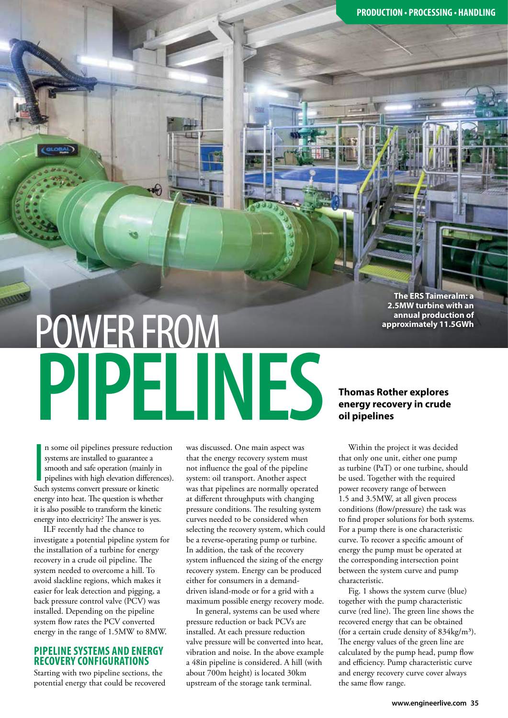**PRODUCTION • PROCESSING • HANDLING**

**The ERS Taimeralm: a 2.5MW turbine with an annual production of approximately 11.5GWh**

# POWER FROM **PIPELINES**

**I**<br>Suc n some oil pipelines pressure reduction systems are installed to guarantee a smooth and safe operation (mainly in pipelines with high elevation differences). Such systems convert pressure or kinetic energy into heat. The question is whether it is also possible to transform the kinetic energy into electricity? The answer is yes.

ILF recently had the chance to investigate a potential pipeline system for the installation of a turbine for energy recovery in a crude oil pipeline. The system needed to overcome a hill. To avoid slackline regions, which makes it easier for leak detection and pigging, a back pressure control valve (PCV) was installed. Depending on the pipeline system flow rates the PCV converted energy in the range of 1.5MW to 8MW.

# **PIPELINE SYSTEMS AND ENERGY RECOVERY CONFIGURATIONS**

Starting with two pipeline sections, the potential energy that could be recovered was discussed. One main aspect was that the energy recovery system must not influence the goal of the pipeline system: oil transport. Another aspect was that pipelines are normally operated at different throughputs with changing pressure conditions. The resulting system curves needed to be considered when selecting the recovery system, which could be a reverse-operating pump or turbine. In addition, the task of the recovery system influenced the sizing of the energy recovery system. Energy can be produced either for consumers in a demanddriven island-mode or for a grid with a maximum possible energy recovery mode.

In general, systems can be used where pressure reduction or back PCVs are installed. At each pressure reduction valve pressure will be converted into heat, vibration and noise. In the above example a 48in pipeline is considered. A hill (with about 700m height) is located 30km upstream of the storage tank terminal.

# **Thomas Rother explores energy recovery in crude oil pipelines**

Within the project it was decided that only one unit, either one pump as turbine (PaT) or one turbine, should be used. Together with the required power recovery range of between 1.5 and 3.5MW, at all given process conditions (flow/pressure) the task was to find proper solutions for both systems. For a pump there is one characteristic curve. To recover a specific amount of energy the pump must be operated at the corresponding intersection point between the system curve and pump characteristic.

Fig. 1 shows the system curve (blue) together with the pump characteristic curve (red line). The green line shows the recovered energy that can be obtained (for a certain crude density of  $834 \text{kg/m}^3$ ). The energy values of the green line are calculated by the pump head, pump flow and efficiency. Pump characteristic curve and energy recovery curve cover always the same flow range.